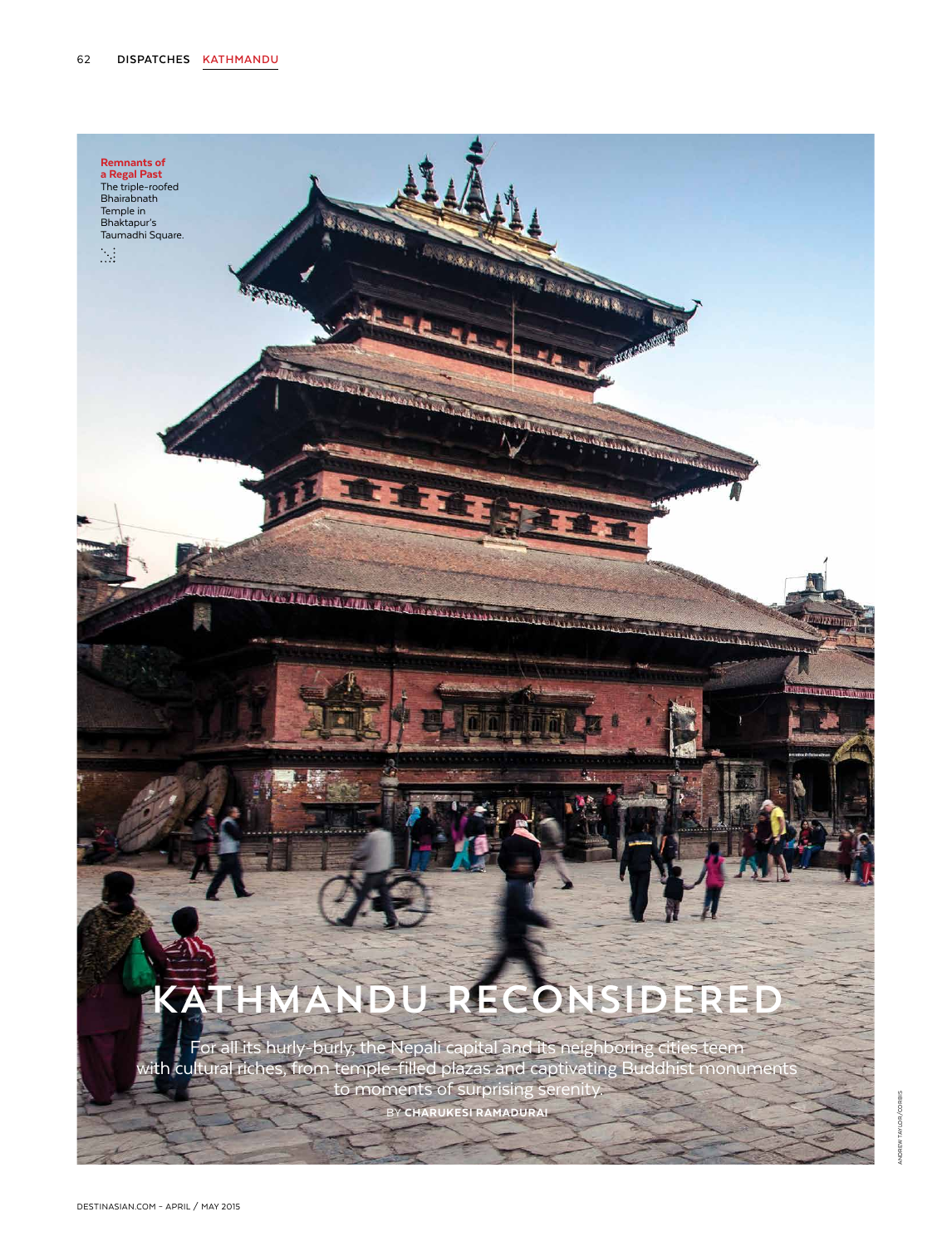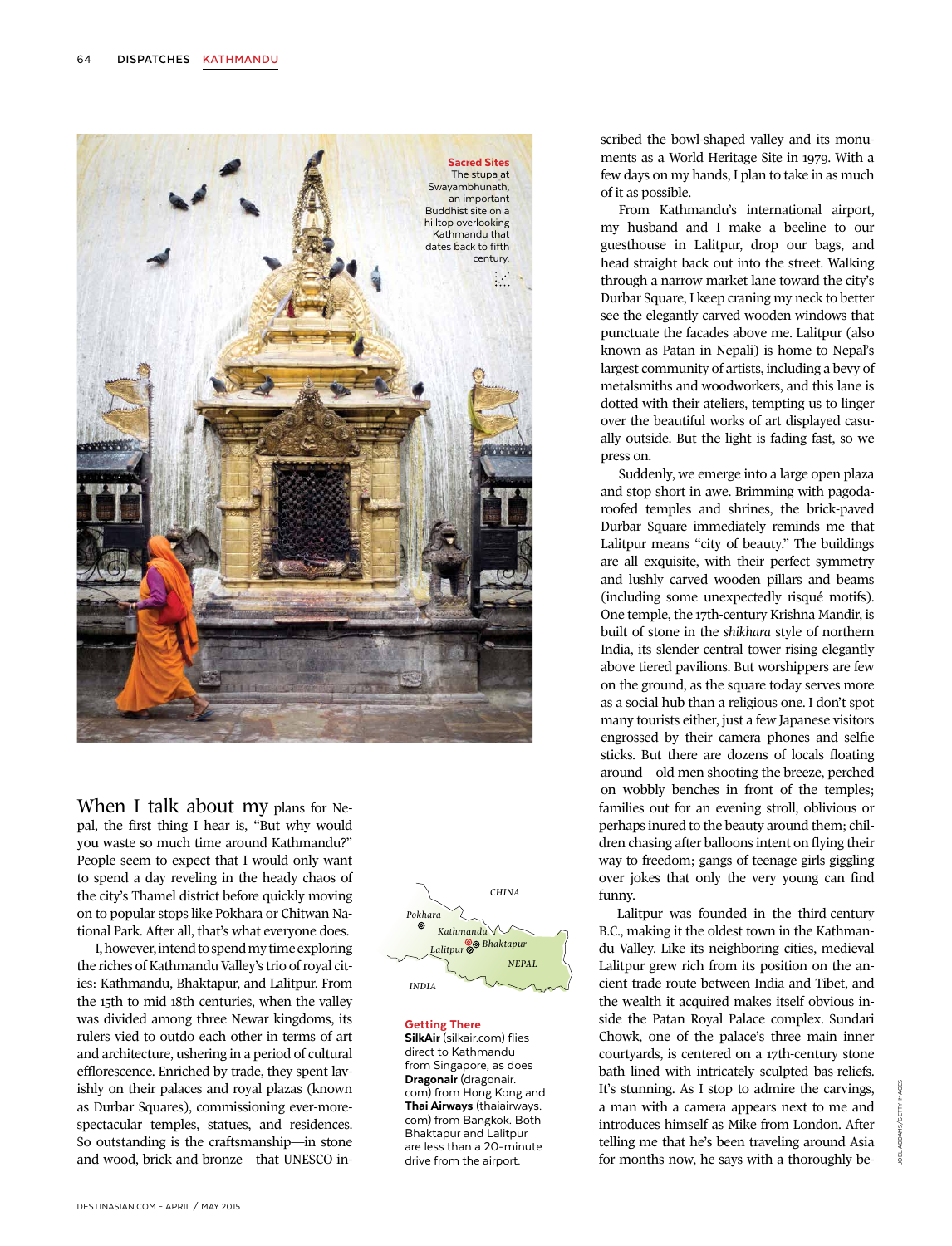

When I talk about my plans for Nepal, the first thing I hear is, "But why would you waste so much time around Kathmandu?" People seem to expect that I would only want to spend a day reveling in the heady chaos of the city's Thamel district before quickly moving on to popular stops like Pokhara or Chitwan National Park. After all, that's what everyone does.

I, however, intend to spend my time exploring the riches of Kathmandu Valley's trio of royal cities: Kathmandu, Bhaktapur, and Lalitpur. From the 15th to mid 18th centuries, when the valley was divided among three Newar kingdoms, its rulers vied to outdo each other in terms of art and architecture, ushering in a period of cultural efflorescence. Enriched by trade, they spent lavishly on their palaces and royal plazas (known as Durbar Squares), commissioning ever-morespectacular temples, statues, and residences. So outstanding is the craftsmanship—in stone and wood, brick and bronze—that UNESCO in-



Getting There SilkAir (silkair.com) flies direct to Kathmandu from Singapore, as does Dragonair (dragonair. com) from Hong Kong and Thai Airways (thaiairways. com) from Bangkok. Both Bhaktapur and Lalitpur are less than a 20-minute drive from the airport.

scribed the bowl-shaped valley and its monuments as a World Heritage Site in 1979. With a few days on my hands, I plan to take in as much of it as possible.

From Kathmandu's international airport, my husband and I make a beeline to our guesthouse in Lalitpur, drop our bags, and head straight back out into the street. Walking through a narrow market lane toward the city's Durbar Square, I keep craning my neck to better see the elegantly carved wooden windows that punctuate the facades above me. Lalitpur (also known as Patan in Nepali) is home to Nepal's largest community of artists, including a bevy of metalsmiths and woodworkers, and this lane is dotted with their ateliers, tempting us to linger over the beautiful works of art displayed casually outside. But the light is fading fast, so we press on.

Suddenly, we emerge into a large open plaza and stop short in awe. Brimming with pagodaroofed temples and shrines, the brick-paved Durbar Square immediately reminds me that Lalitpur means "city of beauty." The buildings are all exquisite, with their perfect symmetry and lushly carved wooden pillars and beams (including some unexpectedly risqué motifs). One temple, the 17th-century Krishna Mandir, is built of stone in the *shikhara* style of northern India, its slender central tower rising elegantly above tiered pavilions. But worshippers are few on the ground, as the square today serves more as a social hub than a religious one. I don't spot many tourists either, just a few Japanese visitors engrossed by their camera phones and selfie sticks. But there are dozens of locals floating around—old men shooting the breeze, perched on wobbly benches in front of the temples; families out for an evening stroll, oblivious or perhaps inured to the beauty around them; children chasing after balloons intent on flying their way to freedom; gangs of teenage girls giggling over jokes that only the very young can find funny.

Lalitpur was founded in the third century B.C., making it the oldest town in the Kathmandu Valley. Like its neighboring cities, medieval Lalitpur grew rich from its position on the ancient trade route between India and Tibet, and the wealth it acquired makes itself obvious inside the Patan Royal Palace complex. Sundari Chowk, one of the palace's three main inner courtyards, is centered on a 17th-century stone bath lined with intricately sculpted bas-reliefs. It's stunning. As I stop to admire the carvings, a man with a camera appears next to me and introduces himself as Mike from London. After telling me that he's been traveling around Asia for months now, he says with a thoroughly be-